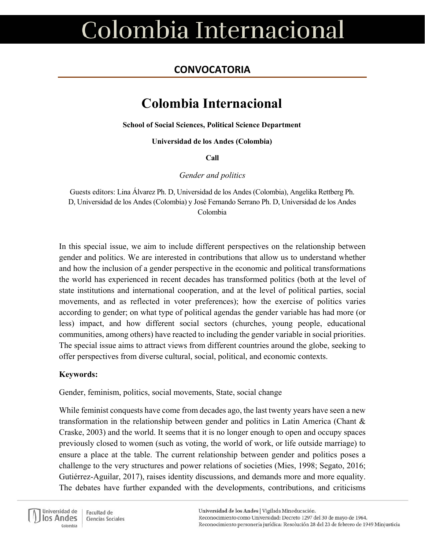### **CONVOCATORIA**

### **Colombia Internacional**

**School of Social Sciences, Political Science Department**

**Universidad de los Andes (Colombia)**

**Call**

*Gender and politics*

Guests editors: Lina Álvarez Ph. D, Universidad de los Andes (Colombia), Angelika Rettberg Ph. D, Universidad de los Andes (Colombia) y José Fernando Serrano Ph. D, Universidad de los Andes Colombia

In this special issue, we aim to include different perspectives on the relationship between gender and politics. We are interested in contributions that allow us to understand whether and how the inclusion of a gender perspective in the economic and political transformations the world has experienced in recent decades has transformed politics (both at the level of state institutions and international cooperation, and at the level of political parties, social movements, and as reflected in voter preferences); how the exercise of politics varies according to gender; on what type of political agendas the gender variable has had more (or less) impact, and how different social sectors (churches, young people, educational communities, among others) have reacted to including the gender variable in social priorities. The special issue aims to attract views from different countries around the globe, seeking to offer perspectives from diverse cultural, social, political, and economic contexts.

#### **Keywords:**

Gender, feminism, politics, social movements, State, social change

While feminist conquests have come from decades ago, the last twenty years have seen a new transformation in the relationship between gender and politics in Latin America (Chant & Craske, 2003) and the world. It seems that it is no longer enough to open and occupy spaces previously closed to women (such as voting, the world of work, or life outside marriage) to ensure a place at the table. The current relationship between gender and politics poses a challenge to the very structures and power relations of societies (Mies, 1998; Segato, 2016; Gutiérrez-Aguilar, 2017), raises identity discussions, and demands more and more equality. The debates have further expanded with the developments, contributions, and criticisms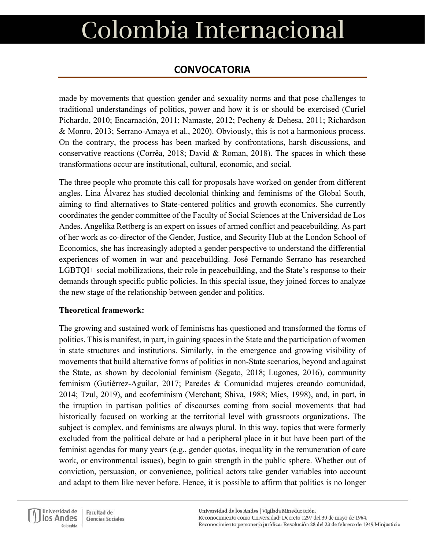### **CONVOCATORIA**

made by movements that question gender and sexuality norms and that pose challenges to traditional understandings of politics, power and how it is or should be exercised (Curiel Pichardo, 2010; Encarnación, 2011; Namaste, 2012; Pecheny & Dehesa, 2011; Richardson & Monro, 2013; Serrano-Amaya et al., 2020). Obviously, this is not a harmonious process. On the contrary, the process has been marked by confrontations, harsh discussions, and conservative reactions (Corrêa, 2018; David & Roman, 2018). The spaces in which these transformations occur are institutional, cultural, economic, and social.

The three people who promote this call for proposals have worked on gender from different angles. Lina Álvarez has studied decolonial thinking and feminisms of the Global South, aiming to find alternatives to State-centered politics and growth economics. She currently coordinates the gender committee of the Faculty of Social Sciences at the Universidad de Los Andes. Angelika Rettberg is an expert on issues of armed conflict and peacebuilding. As part of her work as co-director of the Gender, Justice, and Security Hub at the London School of Economics, she has increasingly adopted a gender perspective to understand the differential experiences of women in war and peacebuilding. José Fernando Serrano has researched LGBTQI+ social mobilizations, their role in peacebuilding, and the State's response to their demands through specific public policies. In this special issue, they joined forces to analyze the new stage of the relationship between gender and politics.

#### **Theoretical framework:**

The growing and sustained work of feminisms has questioned and transformed the forms of politics. This is manifest, in part, in gaining spaces in the State and the participation of women in state structures and institutions. Similarly, in the emergence and growing visibility of movements that build alternative forms of politics in non-State scenarios, beyond and against the State, as shown by decolonial feminism (Segato, 2018; Lugones, 2016), community feminism (Gutiérrez-Aguilar, 2017; Paredes & Comunidad mujeres creando comunidad, 2014; Tzul, 2019), and ecofeminism (Merchant; Shiva, 1988; Mies, 1998), and, in part, in the irruption in partisan politics of discourses coming from social movements that had historically focused on working at the territorial level with grassroots organizations. The subject is complex, and feminisms are always plural. In this way, topics that were formerly excluded from the political debate or had a peripheral place in it but have been part of the feminist agendas for many years (e.g., gender quotas, inequality in the remuneration of care work, or environmental issues), begin to gain strength in the public sphere. Whether out of conviction, persuasion, or convenience, political actors take gender variables into account and adapt to them like never before. Hence, it is possible to affirm that politics is no longer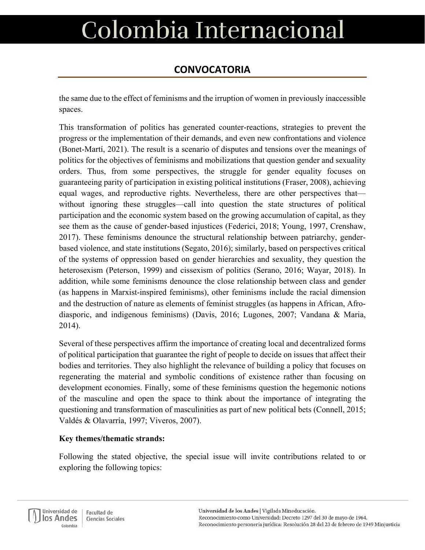### **CONVOCATORIA**

the same due to the effect of feminisms and the irruption of women in previously inaccessible spaces.

This transformation of politics has generated counter-reactions, strategies to prevent the progress or the implementation of their demands, and even new confrontations and violence (Bonet-Martí, 2021). The result is a scenario of disputes and tensions over the meanings of politics for the objectives of feminisms and mobilizations that question gender and sexuality orders. Thus, from some perspectives, the struggle for gender equality focuses on guaranteeing parity of participation in existing political institutions (Fraser, 2008), achieving equal wages, and reproductive rights. Nevertheless, there are other perspectives that without ignoring these struggles—call into question the state structures of political participation and the economic system based on the growing accumulation of capital, as they see them as the cause of gender-based injustices (Federici, 2018; Young, 1997, Crenshaw, 2017). These feminisms denounce the structural relationship between patriarchy, genderbased violence, and state institutions (Segato, 2016); similarly, based on perspectives critical of the systems of oppression based on gender hierarchies and sexuality, they question the heterosexism (Peterson, 1999) and cissexism of politics (Serano, 2016; Wayar, 2018). In addition, while some feminisms denounce the close relationship between class and gender (as happens in Marxist-inspired feminisms), other feminisms include the racial dimension and the destruction of nature as elements of feminist struggles (as happens in African, Afrodiasporic, and indigenous feminisms) (Davis, 2016; Lugones, 2007; Vandana & Maria, 2014).

Several of these perspectives affirm the importance of creating local and decentralized forms of political participation that guarantee the right of people to decide on issues that affect their bodies and territories. They also highlight the relevance of building a policy that focuses on regenerating the material and symbolic conditions of existence rather than focusing on development economies. Finally, some of these feminisms question the hegemonic notions of the masculine and open the space to think about the importance of integrating the questioning and transformation of masculinities as part of new political bets (Connell, 2015; Valdés & Olavarría, 1997; Viveros, 2007).

#### **Key themes/thematic strands:**

Following the stated objective, the special issue will invite contributions related to or exploring the following topics:

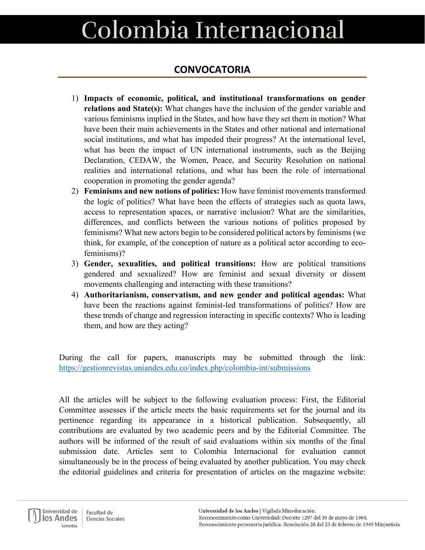### **CONVOCATORIA**

- 1) **Impacts of economic, political, and institutional transformations on gender relations and State(s):** What changes have the inclusion of the gender variable and various feminisms implied in the States, and how have they set them in motion? What have been their main achievements in the States and other national and international social institutions, and what has impeded their progress? At the international level, what has been the impact of UN international instruments, such as the Beijing Declaration, CEDAW, the Women, Peace, and Security Resolution on national realities and international relations, and what has been the role of international cooperation in promoting the gender agenda?
- 2) **Feminisms and new notions of politics:** How have feminist movements transformed the logic of politics? What have been the effects of strategies such as quota laws, access to representation spaces, or narrative inclusion? What are the similarities, differences, and conflicts between the various notions of politics proposed by feminisms? What new actors begin to be considered political actors by feminisms (we think, for example, of the conception of nature as a political actor according to ecofeminisms)?
- 3) **Gender, sexualities, and political transitions:** How are political transitions gendered and sexualized? How are feminist and sexual diversity or dissent movements challenging and interacting with these transitions?
- 4) **Authoritarianism, conservatism, and new gender and political agendas:** What have been the reactions against feminist-led transformations of politics? How are these trends of change and regression interacting in specific contexts? Who is leading them, and how are they acting?

During the call for papers, manuscripts may be submitted through the link: <https://gestionrevistas.uniandes.edu.co/index.php/colombia-int/submissions>

All the articles will be subject to the following evaluation process: First, the Editorial Committee assesses if the article meets the basic requirements set for the journal and its pertinence regarding its appearance in a historical publication. Subsequently, all contributions are evaluated by two academic peers and by the Editorial Committee. The authors will be informed of the result of said evaluations within six months of the final submission date. Articles sent to Colombia Internacional for evaluation cannot simultaneously be in the process of being evaluated by another publication. You may check the editorial guidelines and criteria for presentation of articles on the magazine website: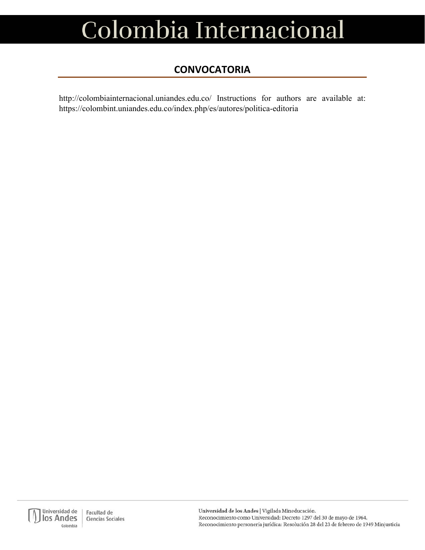### **CONVOCATORIA**

http://colombiainternacional.uniandes.edu.co/ Instructions for authors are available at: https://colombint.uniandes.edu.co/index.php/es/autores/politica-editoria

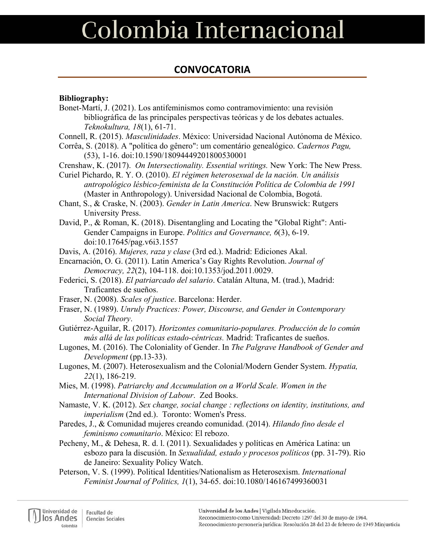### **CONVOCATORIA**

#### **Bibliography:**

- Bonet-Martí, J. (2021). Los antifeminismos como contramovimiento: una revisión bibliográfica de las principales perspectivas teóricas y de los debates actuales. *Teknokultura, 18*(1), 61-71.
- Connell, R. (2015). *Masculinidades*. México: Universidad Nacional Autónoma de México.
- Corrêa, S. (2018). A "política do gênero": um comentário genealógico. *Cadernos Pagu,*  (53), 1-16. doi:10.1590/18094449201800530001
- Crenshaw, K. (2017). *On Intersectionality. Essential writings.* New York: The New Press.

Curiel Pichardo, R. Y. O. (2010). *El régimen heterosexual de la nación. Un análisis antropológico lésbico-feminista de la Constitución Política de Colombia de 1991* (Master in Anthropology). Universidad Nacional de Colombia, Bogotá.

- Chant, S., & Craske, N. (2003). *Gender in Latin America*. New Brunswick: Rutgers University Press.
- David, P., & Roman, K. (2018). Disentangling and Locating the "Global Right": Anti-Gender Campaigns in Europe. *Politics and Governance, 6*(3), 6-19. doi:10.17645/pag.v6i3.1557

Davis, A. (2016). *Mujeres, raza y clase* (3rd ed.). Madrid: Ediciones Akal.

- Encarnación, O. G. (2011). Latin America's Gay Rights Revolution. *Journal of Democracy, 22*(2), 104-118. doi:10.1353/jod.2011.0029.
- Federici, S. (2018). *El patriarcado del salario*. Catalán Altuna, M. (trad.), Madrid: Traficantes de sueños.
- Fraser, N. (2008). *Scales of justice*. Barcelona: Herder.
- Fraser, N. (1989). *Unruly Practices: Power, Discourse, and Gender in Contemporary Social Theory*.
- Gutiérrez-Aguilar, R. (2017). *Horizontes comunitario-populares. Producción de lo común más allá de las políticas estado-céntricas.* Madrid: Traficantes de sueños.
- Lugones, M. (2016). The Coloniality of Gender. In *The Palgrave Handbook of Gender and Development* (pp.13-33).
- Lugones, M. (2007). Heterosexualism and the Colonial/Modern Gender System. *Hypatia, 22*(1), 186-219.
- Mies, M. (1998). *Patriarchy and Accumulation on a World Scale. Women in the International Division of Labour*. Zed Books.
- Namaste, V. K. (2012). *Sex change, social change : reflections on identity, institutions, and imperialism* (2nd ed.). Toronto: Women's Press.
- Paredes, J., & Comunidad mujeres creando comunidad. (2014). *Hilando fino desde el feminismo comunitario*. México: El rebozo.
- Pecheny, M., & Dehesa, R. d. l. (2011). Sexualidades y políticas en América Latina: un esbozo para la discusión. In *Sexualidad, estado y procesos políticos* (pp. 31-79). Rio de Janeiro: Sexuality Policy Watch.
- Peterson, V. S. (1999). Political Identities/Nationalism as Heterosexism. *International Feminist Journal of Politics, 1*(1), 34-65. doi:10.1080/146167499360031